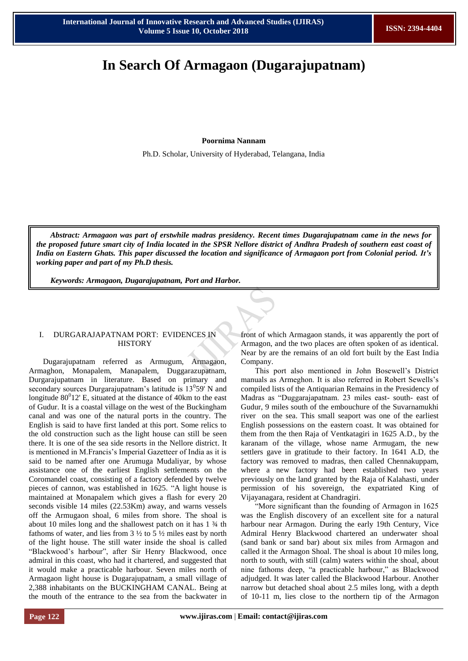# **In Search Of Armagaon (Dugarajupatnam)**

**Poornima Nannam**

Ph.D. Scholar, University of Hyderabad, Telangana, India

*Abstract: Armagaon was part of erstwhile madras presidency. Recent times Dugarajupatnam came in the news for the proposed future smart city of India located in the SPSR Nellore district of Andhra Pradesh of southern east coast of India on Eastern Ghats. This paper discussed the location and significance of Armagaon port from Colonial period. It's working paper and part of my Ph.D thesis.* 

*Keywords: Armagaon, Dugarajupatnam, Port and Harbor.*

#### I. DURGARAJAPATNAM PORT: EVIDENCES IN **HISTORY**

Dugarajupatnam referred as Armugum, Armagaon, Armaghon, Monapalem, Manapalem, Duggarazupatnam, Durgarajupatnam in literature. Based on primary and secondary sources Durgarajupatnam's latitude is  $13<sup>0</sup>59'$  N and longitude  $80^012$ ' E, situated at the distance of 40km to the east of Gudur. It is a coastal village on the west of the Buckingham canal and was one of the natural ports in the country. The English is said to have first landed at this port. Some relics to the old construction such as the light house can still be seen there. It is one of the sea side resorts in the Nellore district. It is mentioned in M.Francis"s Imperial Gazetteer of India as it is said to be named after one Arumuga Mudaliyar, by whose assistance one of the earliest English settlements on the Coromandel coast, consisting of a factory defended by twelve pieces of cannon, was established in 1625. "A light house is maintained at Monapalem which gives a flash for every 20 seconds visible 14 miles (22.53Km) away, and warns vessels off the Armugaon shoal, 6 miles from shore. The shoal is about 10 miles long and the shallowest patch on it has 1 ¾ th fathoms of water, and lies from  $3\frac{1}{2}$  to  $5\frac{1}{2}$  miles east by north of the light house. The still water inside the shoal is called "Blackwood"s harbour", after Sir Henry Blackwood, once admiral in this coast, who had it chartered, and suggested that it would make a practicable harbour. Seven miles north of Armagaon light house is Dugarajupatnam, a small village of 2,388 inhabitants on the BUCKINGHAM CANAL. Being at the mouth of the entrance to the sea from the backwater in

front of which Armagaon stands, it was apparently the port of Armagon, and the two places are often spoken of as identical. Near by are the remains of an old fort built by the East India Company.

This port also mentioned in John Bosewell"s District manuals as Armeghon. It is also referred in Robert Sewells"s compiled lists of the Antiquarian Remains in the Presidency of Madras as "Duggarajapatnam. 23 miles east- south- east of Gudur, 9 miles south of the embouchure of the Suvarnamukhi river on the sea. This small seaport was one of the earliest English possessions on the eastern coast. It was obtained for them from the then Raja of Ventkatagiri in 1625 A.D., by the karanam of the village, whose name Armugam, the new settlers gave in gratitude to their factory. In 1641 A.D, the factory was removed to madras, then called Chennakuppam, where a new factory had been established two years previously on the land granted by the Raja of Kalahasti, under permission of his sovereign, the expatriated King of Vijayanagara, resident at Chandragiri.

"More significant than the founding of Armagon in 1625 was the English discovery of an excellent site for a natural harbour near Armagon. During the early 19th Century, Vice Admiral Henry Blackwood chartered an underwater shoal (sand bank or sand bar) about six miles from Armagon and called it the Armagon Shoal. The shoal is about 10 miles long, north to south, with still (calm) waters within the shoal, about nine fathoms deep, "a practicable harbour," as Blackwood adjudged. It was later called the Blackwood Harbour. Another narrow but detached shoal about 2.5 miles long, with a depth of 10-11 m, lies close to the northern tip of the Armagon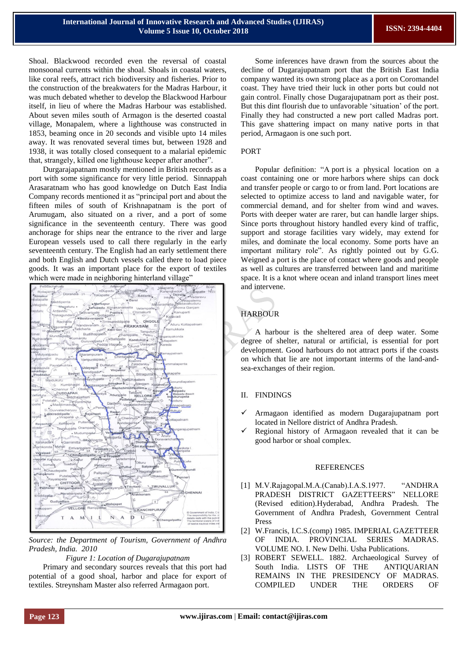Shoal. Blackwood recorded even the reversal of coastal monsoonal currents within the shoal. Shoals in coastal waters, like coral reefs, attract rich biodiversity and fisheries. Prior to the construction of the breakwaters for the Madras Harbour, it was much debated whether to develop the Blackwood Harbour itself, in lieu of where the Madras Harbour was established. About seven miles south of Armagon is the deserted coastal village, Monapalem, where a lighthouse was constructed in 1853, beaming once in 20 seconds and visible upto 14 miles away. It was renovated several times but, between 1928 and 1938, it was totally closed consequent to a malarial epidemic that, strangely, killed one lighthouse keeper after another".

Durgarajapatnam mostly mentioned in British records as a port with some significance for very little period. Sinnappah Arasaratnam who has good knowledge on Dutch East India Company records mentioned it as "principal port and about the fifteen miles of south of Krishnapatnam is the port of Arumugam, also situated on a river, and a port of some significance in the seventeenth century. There was good anchorage for ships near the entrance to the river and large European vessels used to call there regularly in the early seventeenth century. The English had an early settlement there and both English and Dutch vessels called there to load piece goods. It was an important place for the export of textiles which were made in neighboring hinterland village'



*Source: the Department of Tourism, Government of Andhra Pradesh, India. 2010*

#### *Figure 1: Location of Dugarajupatnam*

Primary and secondary sources reveals that this port had potential of a good shoal, harbor and place for export of textiles. Streynsham Master also referred Armagaon port.

Some inferences have drawn from the sources about the decline of Dugarajupatnam port that the British East India company wanted its own strong place as a port on Coromandel coast. They have tried their luck in other ports but could not gain control. Finally chose Dugarajupatnam port as their post. But this dint flourish due to unfavorable "situation" of the port. Finally they had constructed a new port called Madras port. This gave shattering impact on many native ports in that period, Armagaon is one such port.

### PORT

Popular definition: "A port is a physical location on a coast containing one or more harbors where ships can dock and transfer people or cargo to or from land. Port locations are selected to optimize access to land and navigable water, for commercial demand, and for shelter from wind and waves. Ports with deeper water are rarer, but can handle larger ships. Since ports throughout history handled every kind of traffic, support and storage facilities vary widely, may extend for miles, and dominate the local economy. Some ports have an important military role". As rightly pointed out by G.G. Weigned a port is the place of contact where goods and people as well as cultures are transferred between land and maritime space. It is a knot where ocean and inland transport lines meet and intervene.

# HARBOUR

A harbour is the sheltered area of deep water. Some degree of shelter, natural or artificial, is essential for port development. Good harbours do not attract ports if the coasts on which that lie are not important interms of the land-andsea-exchanges of their region.

## II. FINDINGS

- Armagaon identified as modern Dugarajupatnam port located in Nellore district of Andhra Pradesh.
- Regional history of Armagaon revealed that it can be good harbor or shoal complex.

#### REFERENCES

- [1] M.V.Rajagopal.M.A.(Canab).I.A.S.1977. "ANDHRA PRADESH DISTRICT GAZETTEERS" NELLORE (Revised edition).Hyderabad, Andhra Pradesh. The Government of Andhra Pradesh, Government Central Press
- [2] W.Francis, I.C.S.(comp) 1985. IMPERIAL GAZETTEER OF INDIA. PROVINCIAL SERIES MADRAS. VOLUME NO. I. New Delhi. Usha Publications.
- [3] ROBERT SEWELL. 1882. Archaeological Survey of South India. LISTS OF THE ANTIQUARIAN REMAINS IN THE PRESIDENCY OF MADRAS. COMPILED UNDER THE ORDERS OF